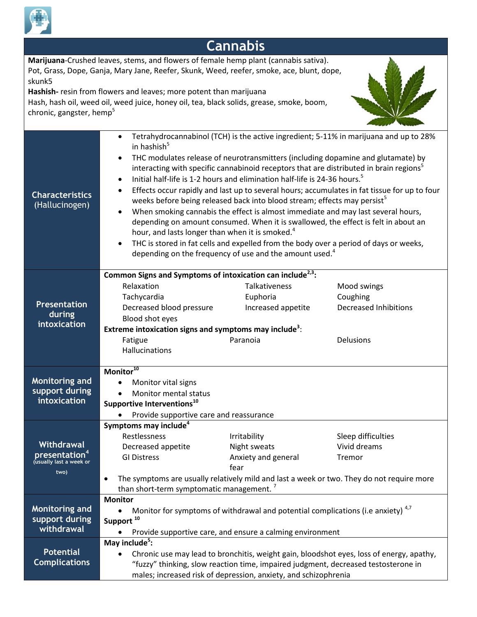

## **Cannabis**

**Marijuana**-Crushed leaves, stems, and flowers of female hemp plant (cannabis sativa). Pot, Grass, Dope, Ganja, Mary Jane, Reefer, Skunk, Weed, reefer, smoke, ace, blunt, dope, skunk5

**Hashish-** resin from flowers and leaves; more potent than marijuana

Hash, hash oil, weed oil, weed juice, honey oil, tea, black solids, grease, smoke, boom, chronic, gangster, hemp<sup>5</sup>



| <b>Characteristics</b><br>(Hallucinogen) | Tetrahydrocannabinol (TCH) is the active ingredient; 5-11% in marijuana and up to 28%<br>$\bullet$<br>in hashish <sup>5</sup><br>THC modulates release of neurotransmitters (including dopamine and glutamate) by<br>$\bullet$<br>interacting with specific cannabinoid receptors that are distributed in brain regions <sup>5</sup><br>Initial half-life is 1-2 hours and elimination half-life is 24-36 hours. <sup>5</sup><br>$\bullet$<br>Effects occur rapidly and last up to several hours; accumulates in fat tissue for up to four<br>$\bullet$<br>weeks before being released back into blood stream; effects may persist <sup>5</sup><br>When smoking cannabis the effect is almost immediate and may last several hours,<br>$\bullet$<br>depending on amount consumed. When it is swallowed, the effect is felt in about an<br>hour, and lasts longer than when it is smoked. <sup>4</sup><br>THC is stored in fat cells and expelled from the body over a period of days or weeks,<br>$\bullet$<br>depending on the frequency of use and the amount used. <sup>4</sup> |                      |                              |  |
|------------------------------------------|------------------------------------------------------------------------------------------------------------------------------------------------------------------------------------------------------------------------------------------------------------------------------------------------------------------------------------------------------------------------------------------------------------------------------------------------------------------------------------------------------------------------------------------------------------------------------------------------------------------------------------------------------------------------------------------------------------------------------------------------------------------------------------------------------------------------------------------------------------------------------------------------------------------------------------------------------------------------------------------------------------------------------------------------------------------------------------|----------------------|------------------------------|--|
|                                          | Common Signs and Symptoms of intoxication can include <sup>2,3</sup> :                                                                                                                                                                                                                                                                                                                                                                                                                                                                                                                                                                                                                                                                                                                                                                                                                                                                                                                                                                                                             |                      |                              |  |
|                                          | Relaxation                                                                                                                                                                                                                                                                                                                                                                                                                                                                                                                                                                                                                                                                                                                                                                                                                                                                                                                                                                                                                                                                         | <b>Talkativeness</b> | Mood swings                  |  |
|                                          | Tachycardia                                                                                                                                                                                                                                                                                                                                                                                                                                                                                                                                                                                                                                                                                                                                                                                                                                                                                                                                                                                                                                                                        | Euphoria             | Coughing                     |  |
| <b>Presentation</b>                      | Decreased blood pressure                                                                                                                                                                                                                                                                                                                                                                                                                                                                                                                                                                                                                                                                                                                                                                                                                                                                                                                                                                                                                                                           | Increased appetite   | <b>Decreased Inhibitions</b> |  |
| during<br>intoxication                   | Blood shot eyes                                                                                                                                                                                                                                                                                                                                                                                                                                                                                                                                                                                                                                                                                                                                                                                                                                                                                                                                                                                                                                                                    |                      |                              |  |
|                                          | Extreme intoxication signs and symptoms may include <sup>3</sup> :                                                                                                                                                                                                                                                                                                                                                                                                                                                                                                                                                                                                                                                                                                                                                                                                                                                                                                                                                                                                                 |                      |                              |  |
|                                          | Fatigue                                                                                                                                                                                                                                                                                                                                                                                                                                                                                                                                                                                                                                                                                                                                                                                                                                                                                                                                                                                                                                                                            | Paranoia             | <b>Delusions</b>             |  |
|                                          | Hallucinations                                                                                                                                                                                                                                                                                                                                                                                                                                                                                                                                                                                                                                                                                                                                                                                                                                                                                                                                                                                                                                                                     |                      |                              |  |
|                                          |                                                                                                                                                                                                                                                                                                                                                                                                                                                                                                                                                                                                                                                                                                                                                                                                                                                                                                                                                                                                                                                                                    |                      |                              |  |
|                                          | Monitor <sup>10</sup>                                                                                                                                                                                                                                                                                                                                                                                                                                                                                                                                                                                                                                                                                                                                                                                                                                                                                                                                                                                                                                                              |                      |                              |  |
| Monitoring and<br>support during         | Monitor vital signs<br>$\bullet$                                                                                                                                                                                                                                                                                                                                                                                                                                                                                                                                                                                                                                                                                                                                                                                                                                                                                                                                                                                                                                                   |                      |                              |  |
| intoxication                             | Monitor mental status<br>$\bullet$                                                                                                                                                                                                                                                                                                                                                                                                                                                                                                                                                                                                                                                                                                                                                                                                                                                                                                                                                                                                                                                 |                      |                              |  |
|                                          | Supportive Interventions <sup>10</sup>                                                                                                                                                                                                                                                                                                                                                                                                                                                                                                                                                                                                                                                                                                                                                                                                                                                                                                                                                                                                                                             |                      |                              |  |
|                                          | Provide supportive care and reassurance                                                                                                                                                                                                                                                                                                                                                                                                                                                                                                                                                                                                                                                                                                                                                                                                                                                                                                                                                                                                                                            |                      |                              |  |
|                                          | Symptoms may include <sup>4</sup><br>Restlessness                                                                                                                                                                                                                                                                                                                                                                                                                                                                                                                                                                                                                                                                                                                                                                                                                                                                                                                                                                                                                                  | Irritability         | Sleep difficulties           |  |
| <b>Withdrawal</b>                        | Decreased appetite                                                                                                                                                                                                                                                                                                                                                                                                                                                                                                                                                                                                                                                                                                                                                                                                                                                                                                                                                                                                                                                                 | Night sweats         | Vivid dreams                 |  |
| presentation <sup>4</sup>                | <b>GI Distress</b>                                                                                                                                                                                                                                                                                                                                                                                                                                                                                                                                                                                                                                                                                                                                                                                                                                                                                                                                                                                                                                                                 | Anxiety and general  | Tremor                       |  |
| (usually last a week or                  |                                                                                                                                                                                                                                                                                                                                                                                                                                                                                                                                                                                                                                                                                                                                                                                                                                                                                                                                                                                                                                                                                    | fear                 |                              |  |
| two)                                     | The symptoms are usually relatively mild and last a week or two. They do not require more<br>$\bullet$                                                                                                                                                                                                                                                                                                                                                                                                                                                                                                                                                                                                                                                                                                                                                                                                                                                                                                                                                                             |                      |                              |  |
|                                          | than short-term symptomatic management. <sup>7</sup>                                                                                                                                                                                                                                                                                                                                                                                                                                                                                                                                                                                                                                                                                                                                                                                                                                                                                                                                                                                                                               |                      |                              |  |
|                                          | <b>Monitor</b>                                                                                                                                                                                                                                                                                                                                                                                                                                                                                                                                                                                                                                                                                                                                                                                                                                                                                                                                                                                                                                                                     |                      |                              |  |
| Monitoring and                           | Monitor for symptoms of withdrawal and potential complications (i.e anxiety) <sup>4,7</sup>                                                                                                                                                                                                                                                                                                                                                                                                                                                                                                                                                                                                                                                                                                                                                                                                                                                                                                                                                                                        |                      |                              |  |
| support during                           | Support <sup>10</sup>                                                                                                                                                                                                                                                                                                                                                                                                                                                                                                                                                                                                                                                                                                                                                                                                                                                                                                                                                                                                                                                              |                      |                              |  |
| withdrawal                               | Provide supportive care, and ensure a calming environment                                                                                                                                                                                                                                                                                                                                                                                                                                                                                                                                                                                                                                                                                                                                                                                                                                                                                                                                                                                                                          |                      |                              |  |
|                                          | May include <sup>5</sup> :                                                                                                                                                                                                                                                                                                                                                                                                                                                                                                                                                                                                                                                                                                                                                                                                                                                                                                                                                                                                                                                         |                      |                              |  |
| <b>Potential</b>                         | Chronic use may lead to bronchitis, weight gain, bloodshot eyes, loss of energy, apathy,                                                                                                                                                                                                                                                                                                                                                                                                                                                                                                                                                                                                                                                                                                                                                                                                                                                                                                                                                                                           |                      |                              |  |
| <b>Complications</b>                     | "fuzzy" thinking, slow reaction time, impaired judgment, decreased testosterone in                                                                                                                                                                                                                                                                                                                                                                                                                                                                                                                                                                                                                                                                                                                                                                                                                                                                                                                                                                                                 |                      |                              |  |
|                                          | males; increased risk of depression, anxiety, and schizophrenia                                                                                                                                                                                                                                                                                                                                                                                                                                                                                                                                                                                                                                                                                                                                                                                                                                                                                                                                                                                                                    |                      |                              |  |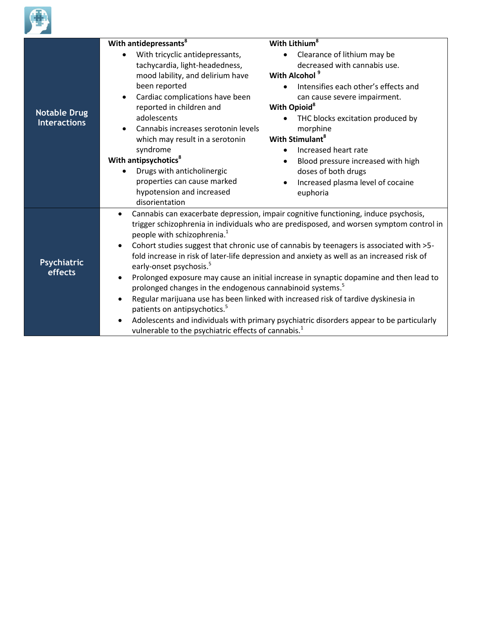

|                                            | With antidepressants <sup>8</sup>                                                                                                                                                                                                                                                                                                                                                                                                                                                                                                                                                                                                                                                                                                                                                                                                                                                                                                                                                              | With Lithium <sup>8</sup>                                                                                                                                                                                                                                                                                              |
|--------------------------------------------|------------------------------------------------------------------------------------------------------------------------------------------------------------------------------------------------------------------------------------------------------------------------------------------------------------------------------------------------------------------------------------------------------------------------------------------------------------------------------------------------------------------------------------------------------------------------------------------------------------------------------------------------------------------------------------------------------------------------------------------------------------------------------------------------------------------------------------------------------------------------------------------------------------------------------------------------------------------------------------------------|------------------------------------------------------------------------------------------------------------------------------------------------------------------------------------------------------------------------------------------------------------------------------------------------------------------------|
| <b>Notable Drug</b><br><b>Interactions</b> | With tricyclic antidepressants,<br>tachycardia, light-headedness,<br>mood lability, and delirium have                                                                                                                                                                                                                                                                                                                                                                                                                                                                                                                                                                                                                                                                                                                                                                                                                                                                                          | Clearance of lithium may be<br>decreased with cannabis use.<br>With Alcohol <sup>9</sup>                                                                                                                                                                                                                               |
|                                            | been reported<br>Cardiac complications have been<br>reported in children and<br>adolescents<br>Cannabis increases serotonin levels<br>which may result in a serotonin<br>syndrome<br>With antipsychotics <sup>8</sup><br>Drugs with anticholinergic<br>properties can cause marked<br>hypotension and increased<br>disorientation                                                                                                                                                                                                                                                                                                                                                                                                                                                                                                                                                                                                                                                              | Intensifies each other's effects and<br>can cause severe impairment.<br>With Opioid <sup>8</sup><br>THC blocks excitation produced by<br>morphine<br>With Stimulant <sup>8</sup><br>Increased heart rate<br>Blood pressure increased with high<br>doses of both drugs<br>Increased plasma level of cocaine<br>euphoria |
| Psychiatric<br>effects                     | Cannabis can exacerbate depression, impair cognitive functioning, induce psychosis,<br>$\bullet$<br>trigger schizophrenia in individuals who are predisposed, and worsen symptom control in<br>people with schizophrenia. <sup>1</sup><br>Cohort studies suggest that chronic use of cannabis by teenagers is associated with >5-<br>$\bullet$<br>fold increase in risk of later-life depression and anxiety as well as an increased risk of<br>early-onset psychosis. <sup>5</sup><br>Prolonged exposure may cause an initial increase in synaptic dopamine and then lead to<br>$\bullet$<br>prolonged changes in the endogenous cannabinoid systems. <sup>5</sup><br>Regular marijuana use has been linked with increased risk of tardive dyskinesia in<br>$\bullet$<br>patients on antipsychotics. <sup>5</sup><br>Adolescents and individuals with primary psychiatric disorders appear to be particularly<br>$\bullet$<br>vulnerable to the psychiatric effects of cannabis. <sup>1</sup> |                                                                                                                                                                                                                                                                                                                        |